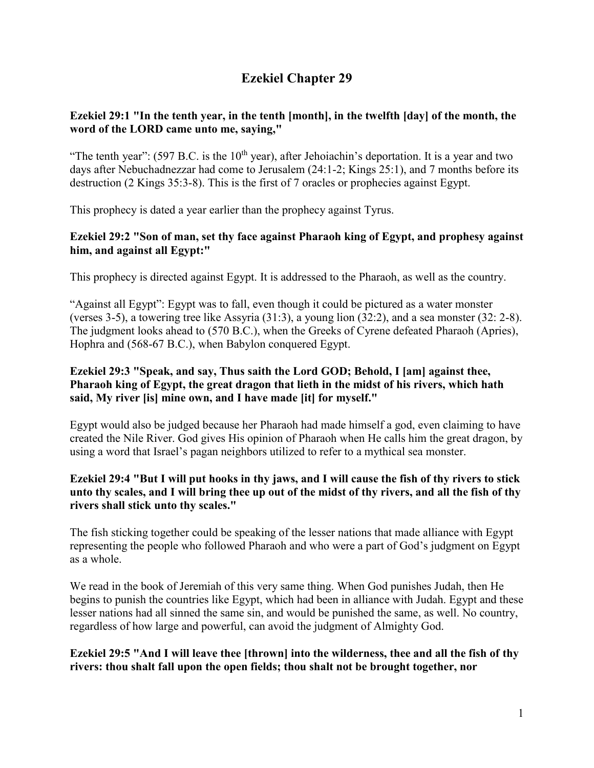# **Ezekiel Chapter 29**

# **Ezekiel 29:1 "In the tenth year, in the tenth [month], in the twelfth [day] of the month, the word of the LORD came unto me, saying,"**

"The tenth year":  $(597 B.C.$  is the  $10<sup>th</sup>$  year), after Jehoiachin's deportation. It is a year and two days after Nebuchadnezzar had come to Jerusalem (24:1-2; Kings 25:1), and 7 months before its destruction (2 Kings 35:3-8). This is the first of 7 oracles or prophecies against Egypt.

This prophecy is dated a year earlier than the prophecy against Tyrus.

# **Ezekiel 29:2 "Son of man, set thy face against Pharaoh king of Egypt, and prophesy against him, and against all Egypt:"**

This prophecy is directed against Egypt. It is addressed to the Pharaoh, as well as the country.

"Against all Egypt": Egypt was to fall, even though it could be pictured as a water monster (verses 3-5), a towering tree like Assyria (31:3), a young lion (32:2), and a sea monster (32: 2-8). The judgment looks ahead to (570 B.C.), when the Greeks of Cyrene defeated Pharaoh (Apries), Hophra and (568-67 B.C.), when Babylon conquered Egypt.

#### **Ezekiel 29:3 "Speak, and say, Thus saith the Lord GOD; Behold, I [am] against thee, Pharaoh king of Egypt, the great dragon that lieth in the midst of his rivers, which hath said, My river [is] mine own, and I have made [it] for myself."**

Egypt would also be judged because her Pharaoh had made himself a god, even claiming to have created the Nile River. God gives His opinion of Pharaoh when He calls him the great dragon, by using a word that Israel's pagan neighbors utilized to refer to a mythical sea monster.

# **Ezekiel 29:4 "But I will put hooks in thy jaws, and I will cause the fish of thy rivers to stick unto thy scales, and I will bring thee up out of the midst of thy rivers, and all the fish of thy rivers shall stick unto thy scales."**

The fish sticking together could be speaking of the lesser nations that made alliance with Egypt representing the people who followed Pharaoh and who were a part of God's judgment on Egypt as a whole.

We read in the book of Jeremiah of this very same thing. When God punishes Judah, then He begins to punish the countries like Egypt, which had been in alliance with Judah. Egypt and these lesser nations had all sinned the same sin, and would be punished the same, as well. No country, regardless of how large and powerful, can avoid the judgment of Almighty God.

# **Ezekiel 29:5 "And I will leave thee [thrown] into the wilderness, thee and all the fish of thy rivers: thou shalt fall upon the open fields; thou shalt not be brought together, nor**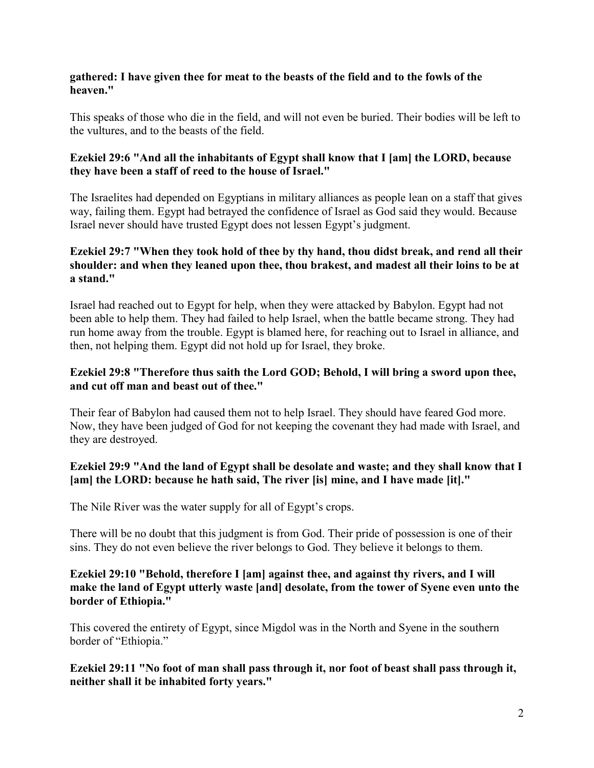#### **gathered: I have given thee for meat to the beasts of the field and to the fowls of the heaven."**

This speaks of those who die in the field, and will not even be buried. Their bodies will be left to the vultures, and to the beasts of the field.

#### **Ezekiel 29:6 "And all the inhabitants of Egypt shall know that I [am] the LORD, because they have been a staff of reed to the house of Israel."**

The Israelites had depended on Egyptians in military alliances as people lean on a staff that gives way, failing them. Egypt had betrayed the confidence of Israel as God said they would. Because Israel never should have trusted Egypt does not lessen Egypt's judgment.

# **Ezekiel 29:7 "When they took hold of thee by thy hand, thou didst break, and rend all their shoulder: and when they leaned upon thee, thou brakest, and madest all their loins to be at a stand."**

Israel had reached out to Egypt for help, when they were attacked by Babylon. Egypt had not been able to help them. They had failed to help Israel, when the battle became strong. They had run home away from the trouble. Egypt is blamed here, for reaching out to Israel in alliance, and then, not helping them. Egypt did not hold up for Israel, they broke.

# **Ezekiel 29:8 "Therefore thus saith the Lord GOD; Behold, I will bring a sword upon thee, and cut off man and beast out of thee."**

Their fear of Babylon had caused them not to help Israel. They should have feared God more. Now, they have been judged of God for not keeping the covenant they had made with Israel, and they are destroyed.

# **Ezekiel 29:9 "And the land of Egypt shall be desolate and waste; and they shall know that I [am] the LORD: because he hath said, The river [is] mine, and I have made [it]."**

The Nile River was the water supply for all of Egypt's crops.

There will be no doubt that this judgment is from God. Their pride of possession is one of their sins. They do not even believe the river belongs to God. They believe it belongs to them.

#### **Ezekiel 29:10 "Behold, therefore I [am] against thee, and against thy rivers, and I will make the land of Egypt utterly waste [and] desolate, from the tower of Syene even unto the border of Ethiopia."**

This covered the entirety of Egypt, since Migdol was in the North and Syene in the southern border of "Ethiopia."

**Ezekiel 29:11 "No foot of man shall pass through it, nor foot of beast shall pass through it, neither shall it be inhabited forty years."**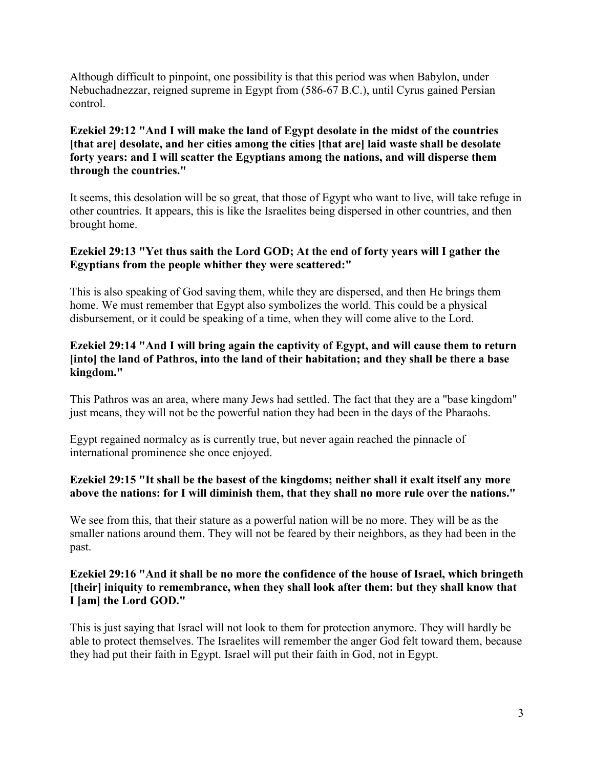Although difficult to pinpoint, one possibility is that this period was when Babylon, under Nebuchadnezzar, reigned supreme in Egypt from (586-67 B.C.), until Cyrus gained Persian control.

# **Ezekiel 29:12 "And I will make the land of Egypt desolate in the midst of the countries [that are] desolate, and her cities among the cities [that are] laid waste shall be desolate forty years: and I will scatter the Egyptians among the nations, and will disperse them through the countries."**

It seems, this desolation will be so great, that those of Egypt who want to live, will take refuge in other countries. It appears, this is like the Israelites being dispersed in other countries, and then brought home.

# **Ezekiel 29:13 "Yet thus saith the Lord GOD; At the end of forty years will I gather the Egyptians from the people whither they were scattered:"**

This is also speaking of God saving them, while they are dispersed, and then He brings them home. We must remember that Egypt also symbolizes the world. This could be a physical disbursement, or it could be speaking of a time, when they will come alive to the Lord.

## **Ezekiel 29:14 "And I will bring again the captivity of Egypt, and will cause them to return [into] the land of Pathros, into the land of their habitation; and they shall be there a base kingdom."**

This Pathros was an area, where many Jews had settled. The fact that they are a "base kingdom" just means, they will not be the powerful nation they had been in the days of the Pharaohs.

Egypt regained normalcy as is currently true, but never again reached the pinnacle of international prominence she once enjoyed.

# **Ezekiel 29:15 "It shall be the basest of the kingdoms; neither shall it exalt itself any more above the nations: for I will diminish them, that they shall no more rule over the nations."**

We see from this, that their stature as a powerful nation will be no more. They will be as the smaller nations around them. They will not be feared by their neighbors, as they had been in the past.

# **Ezekiel 29:16 "And it shall be no more the confidence of the house of Israel, which bringeth [their] iniquity to remembrance, when they shall look after them: but they shall know that I [am] the Lord GOD."**

This is just saying that Israel will not look to them for protection anymore. They will hardly be able to protect themselves. The Israelites will remember the anger God felt toward them, because they had put their faith in Egypt. Israel will put their faith in God, not in Egypt.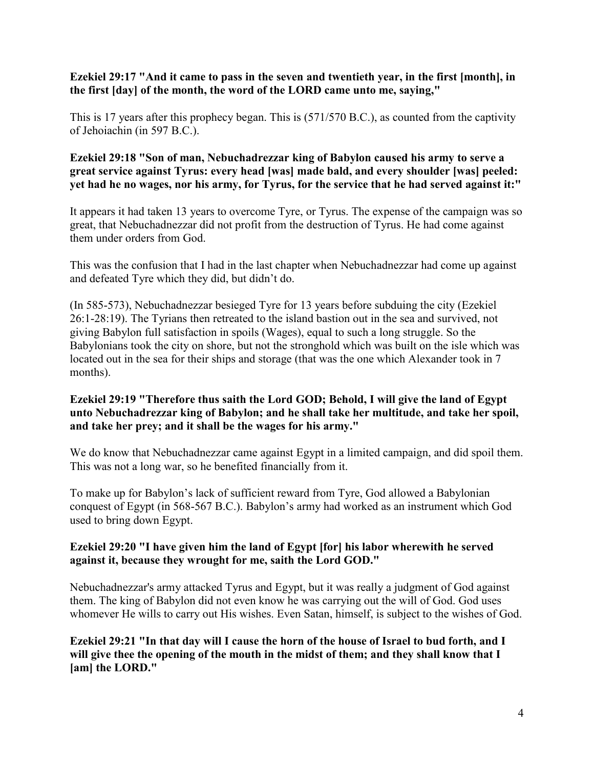## **Ezekiel 29:17 "And it came to pass in the seven and twentieth year, in the first [month], in the first [day] of the month, the word of the LORD came unto me, saying,"**

This is 17 years after this prophecy began. This is (571/570 B.C.), as counted from the captivity of Jehoiachin (in 597 B.C.).

# **Ezekiel 29:18 "Son of man, Nebuchadrezzar king of Babylon caused his army to serve a great service against Tyrus: every head [was] made bald, and every shoulder [was] peeled: yet had he no wages, nor his army, for Tyrus, for the service that he had served against it:"**

It appears it had taken 13 years to overcome Tyre, or Tyrus. The expense of the campaign was so great, that Nebuchadnezzar did not profit from the destruction of Tyrus. He had come against them under orders from God.

This was the confusion that I had in the last chapter when Nebuchadnezzar had come up against and defeated Tyre which they did, but didn't do.

(In 585-573), Nebuchadnezzar besieged Tyre for 13 years before subduing the city (Ezekiel 26:1-28:19). The Tyrians then retreated to the island bastion out in the sea and survived, not giving Babylon full satisfaction in spoils (Wages), equal to such a long struggle. So the Babylonians took the city on shore, but not the stronghold which was built on the isle which was located out in the sea for their ships and storage (that was the one which Alexander took in 7 months).

# **Ezekiel 29:19 "Therefore thus saith the Lord GOD; Behold, I will give the land of Egypt unto Nebuchadrezzar king of Babylon; and he shall take her multitude, and take her spoil, and take her prey; and it shall be the wages for his army."**

We do know that Nebuchadnezzar came against Egypt in a limited campaign, and did spoil them. This was not a long war, so he benefited financially from it.

To make up for Babylon's lack of sufficient reward from Tyre, God allowed a Babylonian conquest of Egypt (in 568-567 B.C.). Babylon's army had worked as an instrument which God used to bring down Egypt.

# **Ezekiel 29:20 "I have given him the land of Egypt [for] his labor wherewith he served against it, because they wrought for me, saith the Lord GOD."**

Nebuchadnezzar's army attacked Tyrus and Egypt, but it was really a judgment of God against them. The king of Babylon did not even know he was carrying out the will of God. God uses whomever He wills to carry out His wishes. Even Satan, himself, is subject to the wishes of God.

**Ezekiel 29:21 "In that day will I cause the horn of the house of Israel to bud forth, and I will give thee the opening of the mouth in the midst of them; and they shall know that I [am] the LORD."**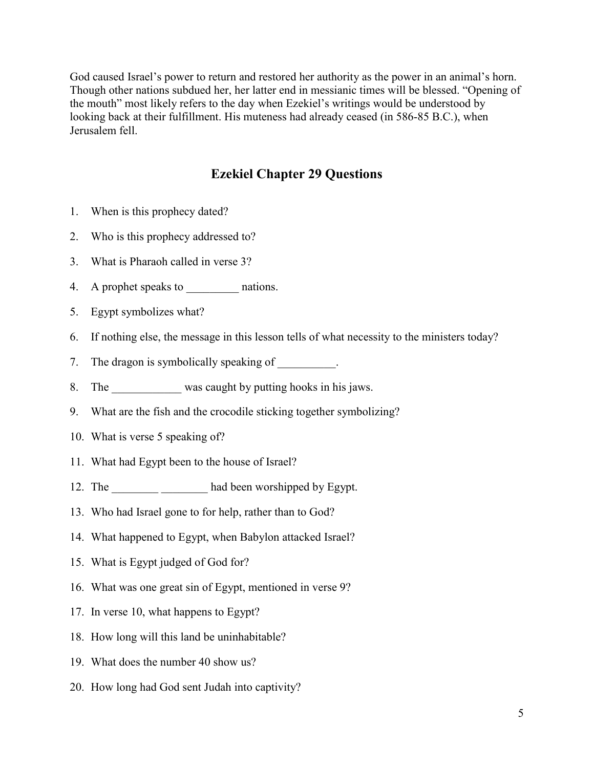God caused Israel's power to return and restored her authority as the power in an animal's horn. Though other nations subdued her, her latter end in messianic times will be blessed. "Opening of the mouth" most likely refers to the day when Ezekiel's writings would be understood by looking back at their fulfillment. His muteness had already ceased (in 586-85 B.C.), when Jerusalem fell.

# **Ezekiel Chapter 29 Questions**

- 1. When is this prophecy dated?
- 2. Who is this prophecy addressed to?
- 3. What is Pharaoh called in verse 3?
- 4. A prophet speaks to \_\_\_\_\_\_\_\_\_\_\_ nations.
- 5. Egypt symbolizes what?
- 6. If nothing else, the message in this lesson tells of what necessity to the ministers today?
- 7. The dragon is symbolically speaking of \_\_\_\_\_\_\_\_\_.
- 8. The was caught by putting hooks in his jaws.
- 9. What are the fish and the crocodile sticking together symbolizing?
- 10. What is verse 5 speaking of?
- 11. What had Egypt been to the house of Israel?
- 12. The had been worshipped by Egypt.
- 13. Who had Israel gone to for help, rather than to God?
- 14. What happened to Egypt, when Babylon attacked Israel?
- 15. What is Egypt judged of God for?
- 16. What was one great sin of Egypt, mentioned in verse 9?
- 17. In verse 10, what happens to Egypt?
- 18. How long will this land be uninhabitable?
- 19. What does the number 40 show us?
- 20. How long had God sent Judah into captivity?